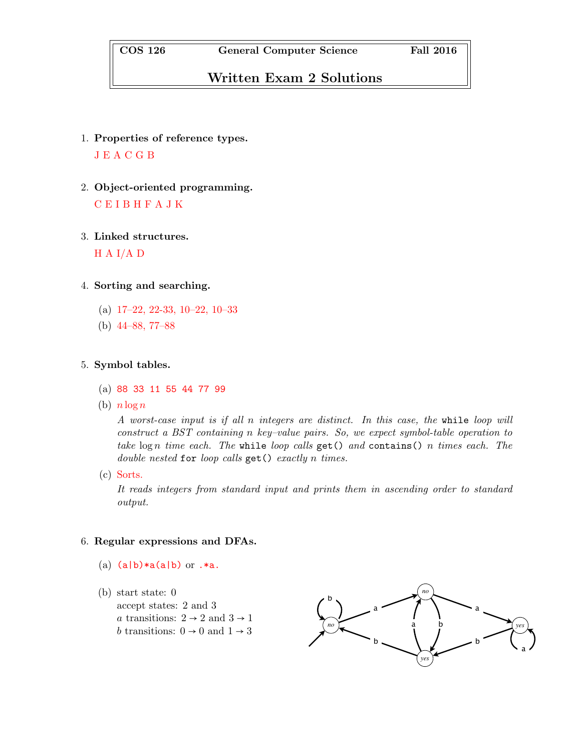## Written Exam 2 Solutions

- 1. Properties of reference types. J E A C G B
- 2. Object-oriented programming. C E I B H F A J K
- 3. Linked structures.

 $H A I/A D$ 

- 4. Sorting and searching.
	- (a) 17–22, 22-33, 10–22, 10–33
	- (b) 44–88, 77–88

5. Symbol tables.

- (a) 88 33 11 55 44 77 99
- (b)  $n \log n$

A worst-case input is if all n integers are distinct. In this case, the while loop will construct a BST containing n key–value pairs. So, we expect symbol-table operation to take  $\log n$  time each. The while loop calls get() and contains() n times each. The double nested for loop calls  $get()$  exactly n times.

(c) Sorts.

It reads integers from standard input and prints them in ascending order to standard output.

## 6. Regular expressions and DFAs.

- (a)  $(a|b) * a(a|b)$  or  $.*a$ .
- (b) start state: 0 accept states: 2 and 3 a transitions:  $2 \rightarrow 2$  and  $3 \rightarrow 1$  $b$  transitions:  $0 \rightarrow 0$  and  $1 \rightarrow 3$